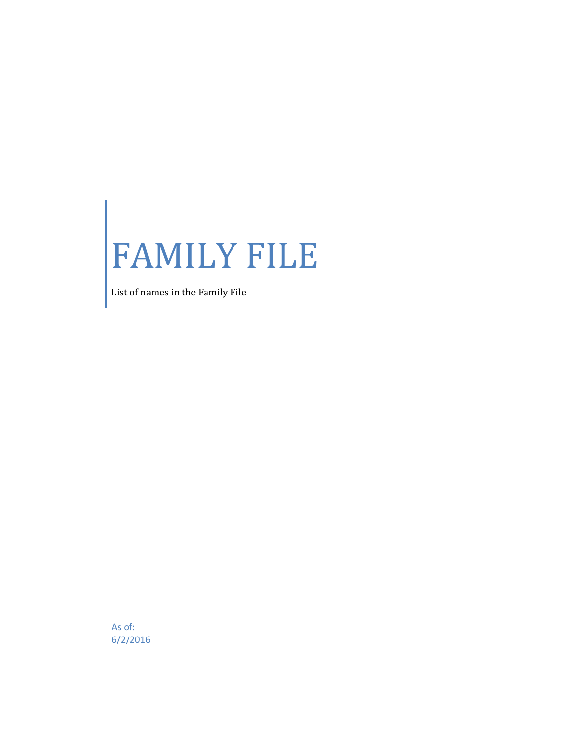## FAMILY FILE

List of names in the Family File

As of: 6/2/2016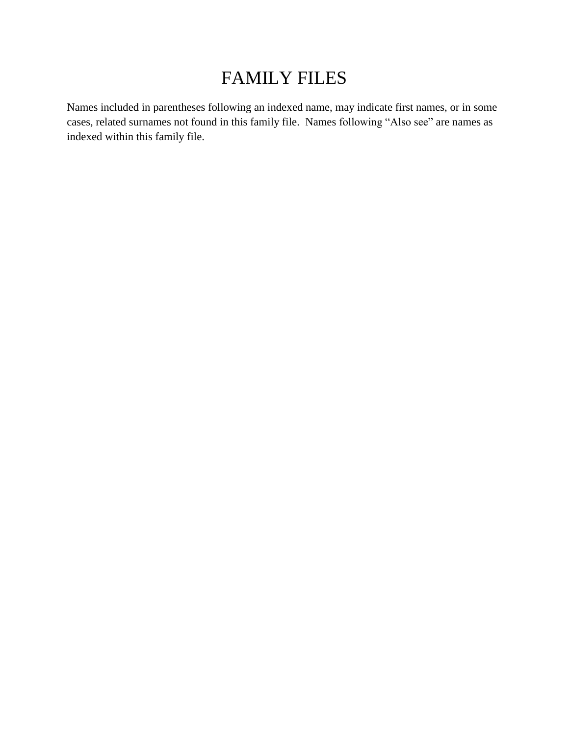## FAMILY FILES

Names included in parentheses following an indexed name, may indicate first names, or in some cases, related surnames not found in this family file. Names following "Also see" are names as indexed within this family file.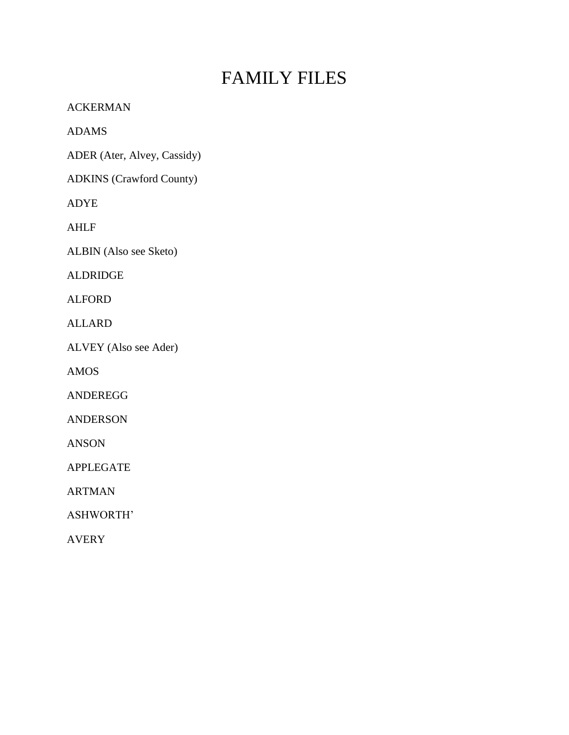## FAMILY FILES

ACKERMAN

ADAMS

ADER (Ater, Alvey, Cassidy)

ADKINS (Crawford County)

ADYE

AHLF

ALBIN (Also see Sketo)

ALDRIDGE

ALFORD

ALLARD

ALVEY (Also see Ader)

AMOS

ANDEREGG

ANDERSON

ANSON

APPLEGATE

ARTMAN

ASHWORTH'

AVERY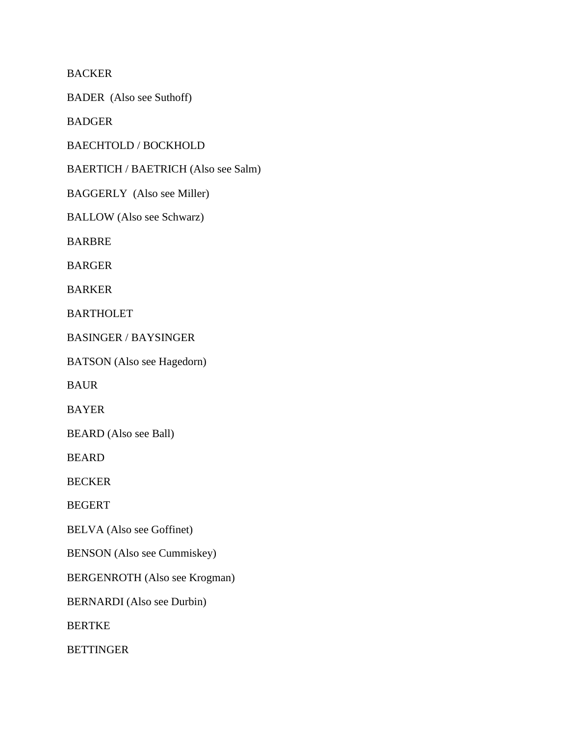BACKER

BADER (Also see Suthoff)

BADGER

BAECHTOLD / BOCKHOLD

BAERTICH / BAETRICH (Also see Salm)

BAGGERLY (Also see Miller)

BALLOW (Also see Schwarz)

BARBRE

BARGER

BARKER

BARTHOLET

BASINGER / BAYSINGER

BATSON (Also see Hagedorn)

BAUR

BAYER

BEARD (Also see Ball)

BEARD

BECKER

BEGERT

BELVA (Also see Goffinet)

BENSON (Also see Cummiskey)

BERGENROTH (Also see Krogman)

BERNARDI (Also see Durbin)

BERTKE

BETTINGER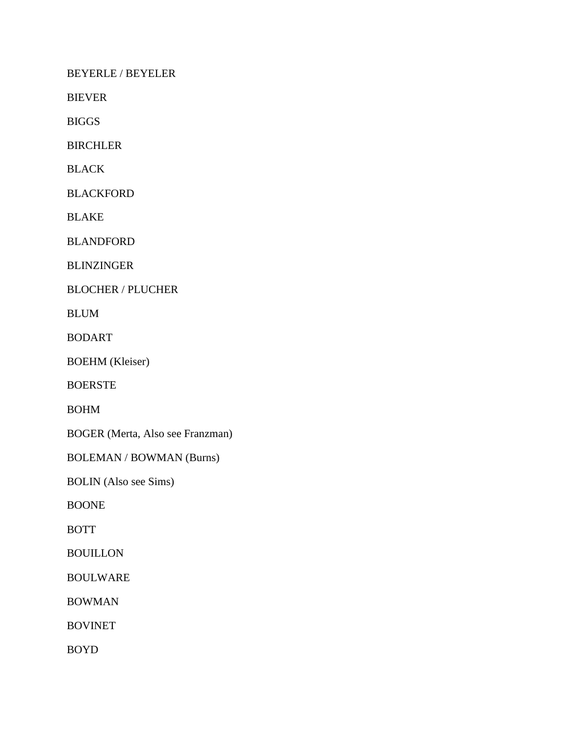BEYERLE / BEYELER

BIEVER

BIGGS

BIRCHLER

BLACK

BLACKFORD

BLAKE

BLANDFORD

BLINZINGER

BLOCHER / PLUCHER

BLUM

BODART

BOEHM (Kleiser)

BOERSTE

BOHM

BOGER (Merta, Also see Franzman)

BOLEMAN / BOWMAN (Burns)

BOLIN (Also see Sims)

BOONE

BOTT

**BOUILLON** 

BOULWARE

BOWMAN

BOVINET

BOYD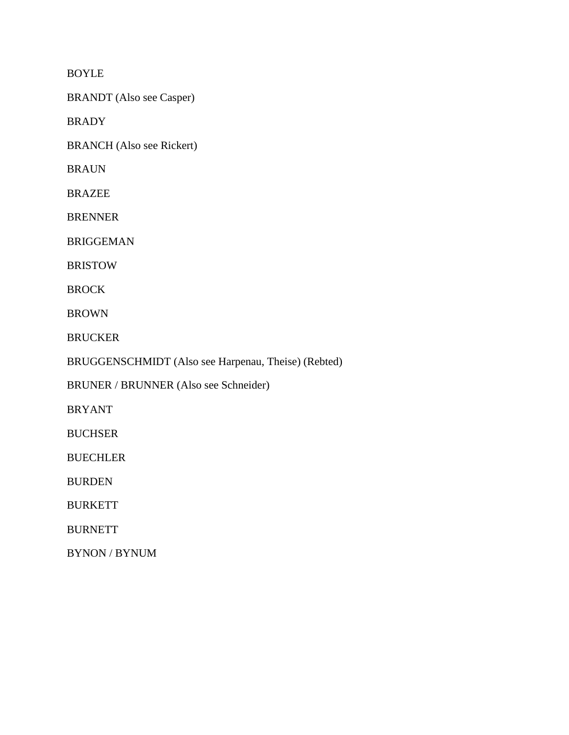BOYLE

BRANDT (Also see Casper)

BRADY

BRANCH (Also see Rickert)

BRAUN

BRAZEE

BRENNER

BRIGGEMAN

BRISTOW

BROCK

BROWN

BRUCKER

BRUGGENSCHMIDT (Also see Harpenau, Theise) (Rebted)

BRUNER / BRUNNER (Also see Schneider)

BRYANT

BUCHSER

**BUECHLER** 

BURDEN

BURKETT

BURNETT

BYNON / BYNUM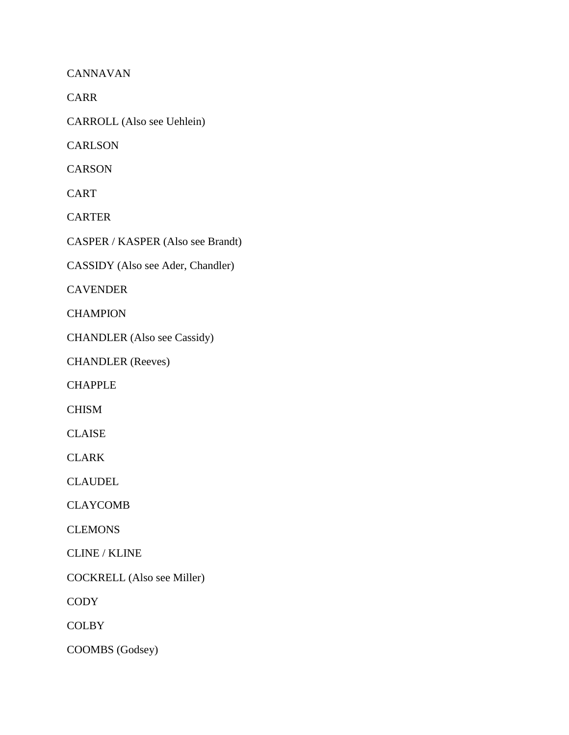CANNAVAN

CARR

CARROLL (Also see Uehlein)

**CARLSON** 

**CARSON** 

CART

CARTER

CASPER / KASPER (Also see Brandt)

CASSIDY (Also see Ader, Chandler)

CAVENDER

**CHAMPION** 

CHANDLER (Also see Cassidy)

CHANDLER (Reeves)

CHAPPLE

CHISM

CLAISE

CLARK

CLAUDEL

CLAYCOMB

**CLEMONS** 

CLINE / KLINE

COCKRELL (Also see Miller)

**CODY** 

**COLBY** 

COOMBS (Godsey)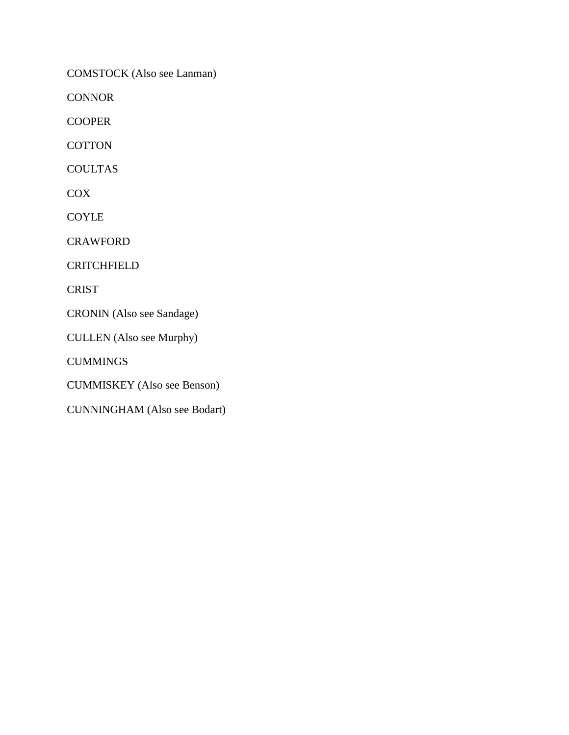COMSTOCK (Also see Lanman)

**CONNOR** 

COOPER

**COTTON** 

COULTAS

**COX** 

COYLE

**CRAWFORD** 

CRITCHFIELD

**CRIST** 

CRONIN (Also see Sandage)

CULLEN (Also see Murphy)

**CUMMINGS** 

CUMMISKEY (Also see Benson)

CUNNINGHAM (Also see Bodart)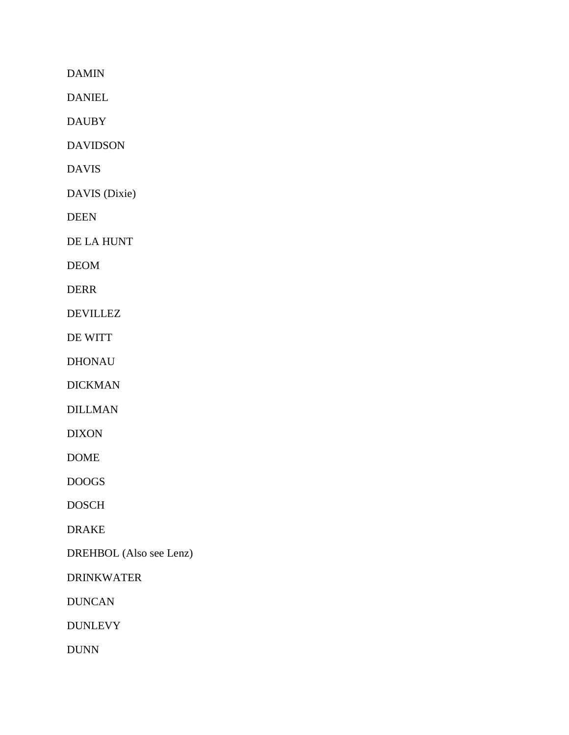DAMIN

DANIEL

DAUBY

DAVIDSON

DAVIS

DAVIS (Dixie)

DEEN

DE LA HUNT

DEOM

DERR

DEVILLEZ

DE WITT

DHONAU

DICKMAN

DILLMAN

DIXON

DOME

DOOGS

DOSCH

DRAKE

DREHBOL (Also see Lenz)

DRINKWATER

DUNCAN

DUNLEVY

DUNN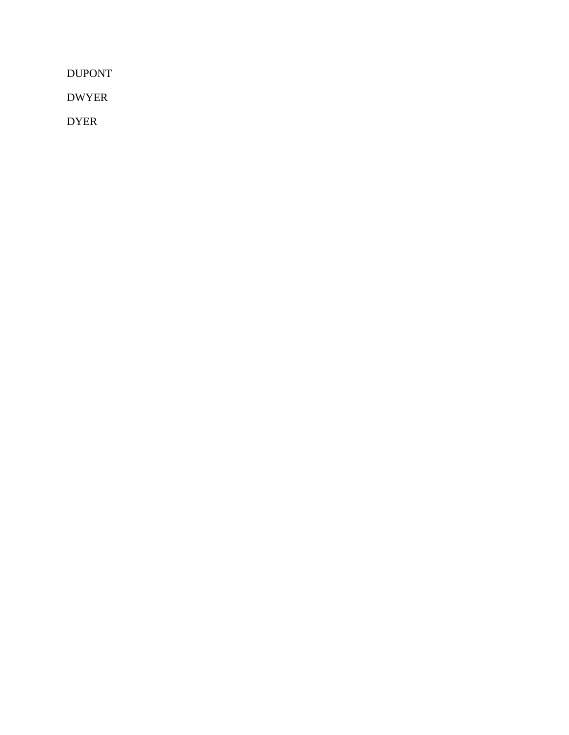DUPONT

DWYER

DYER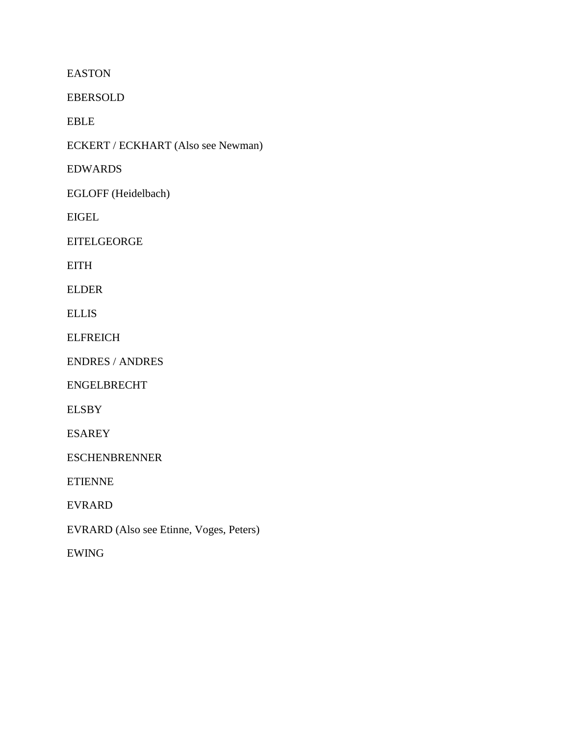EASTON

EBERSOLD

EBLE

ECKERT / ECKHART (Also see Newman)

EDWARDS

EGLOFF (Heidelbach)

EIGEL

EITELGEORGE

EITH

ELDER

ELLIS

**ELFREICH** 

ENDRES / ANDRES

ENGELBRECHT

ELSBY

ESAREY

ESCHENBRENNER

ETIENNE

EVRARD

EVRARD (Also see Etinne, Voges, Peters)

EWING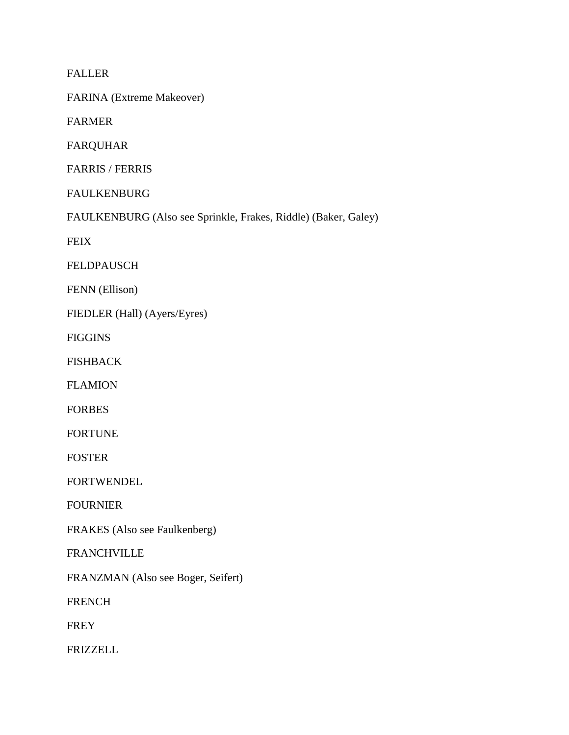FALLER

FARINA (Extreme Makeover)

FARMER

FARQUHAR

FARRIS / FERRIS

FAULKENBURG

FAULKENBURG (Also see Sprinkle, Frakes, Riddle) (Baker, Galey)

**FEIX** 

FELDPAUSCH

FENN (Ellison)

FIEDLER (Hall) (Ayers/Eyres)

FIGGINS

FISHBACK

FLAMION

FORBES

FORTUNE

FOSTER

FORTWENDEL

FOURNIER

FRAKES (Also see Faulkenberg)

FRANCHVILLE

FRANZMAN (Also see Boger, Seifert)

FRENCH

FREY

FRIZZELL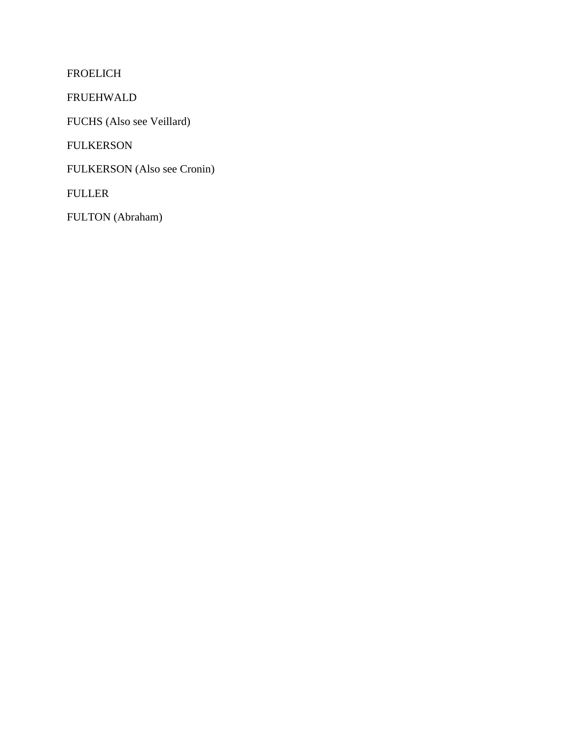FROELICH

FRUEHWALD

FUCHS (Also see Veillard)

FULKERSON

FULKERSON (Also see Cronin)

FULLER

FULTON (Abraham)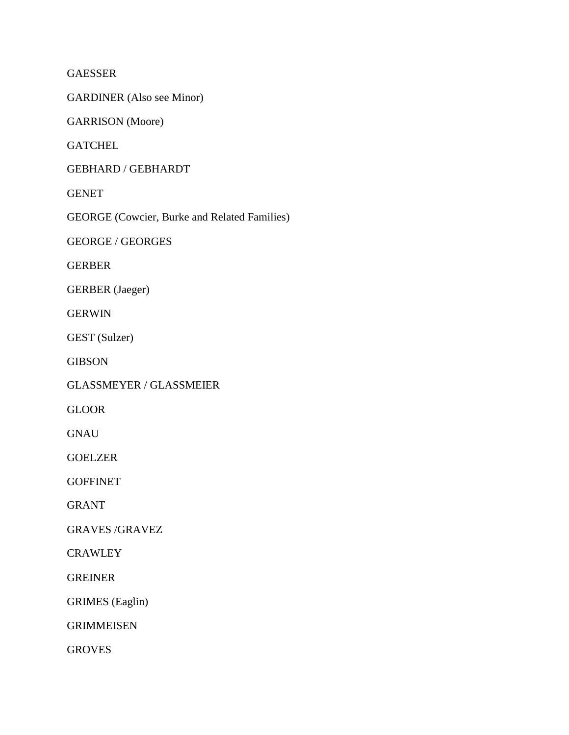GAESSER

GARDINER (Also see Minor)

GARRISON (Moore)

**GATCHEL** 

GEBHARD / GEBHARDT

GENET

GEORGE (Cowcier, Burke and Related Families)

GEORGE / GEORGES

GERBER

GERBER (Jaeger)

GERWIN

GEST (Sulzer)

GIBSON

GLASSMEYER / GLASSMEIER

GLOOR

GNAU

GOELZER

**GOFFINET** 

GRANT

GRAVES /GRAVEZ

**CRAWLEY** 

GREINER

GRIMES (Eaglin)

GRIMMEISEN

GROVES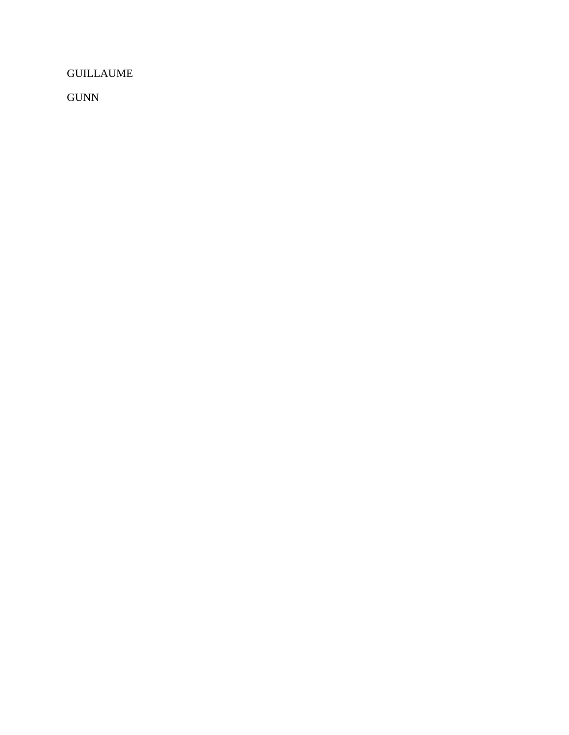GUILLAUME

GUNN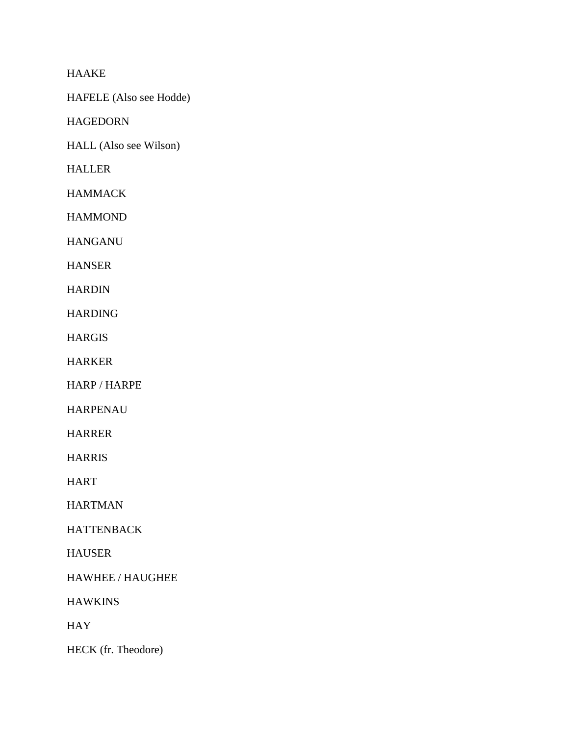HAAKE

HAFELE (Also see Hodde)

HAGEDORN

HALL (Also see Wilson)

HALLER

**HAMMACK** 

**HAMMOND** 

HANGANU

HANSER

**HARDIN** 

HARDING

HARGIS

HARKER

HARP / HARPE

HARPENAU

HARRER

HARRIS

HART

HARTMAN

HATTENBACK

HAUSER

HAWHEE / HAUGHEE

**HAWKINS** 

HAY

HECK (fr. Theodore)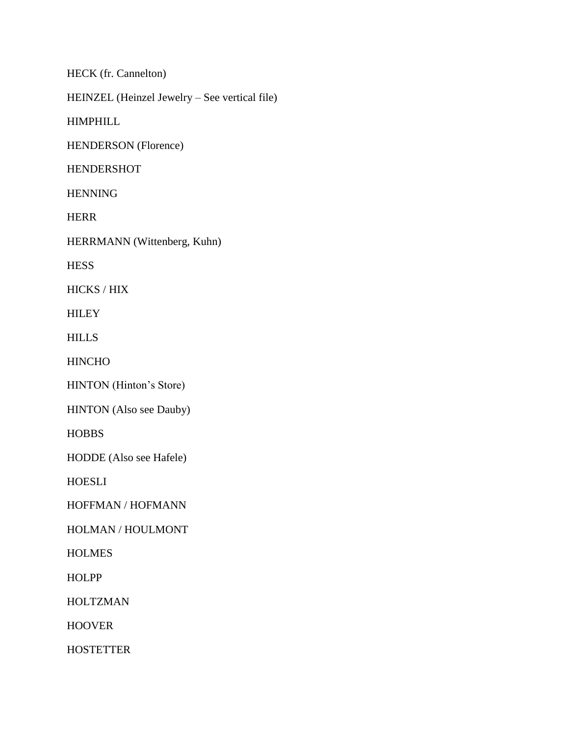HECK (fr. Cannelton)

HEINZEL (Heinzel Jewelry – See vertical file)

HIMPHILL

HENDERSON (Florence)

HENDERSHOT

HENNING

HERR

HERRMANN (Wittenberg, Kuhn)

**HESS** 

HICKS / HIX

**HILEY** 

**HILLS** 

HINCHO

HINTON (Hinton's Store)

HINTON (Also see Dauby)

**HOBBS** 

HODDE (Also see Hafele)

HOESLI

HOFFMAN / HOFMANN

HOLMAN / HOULMONT

**HOLMES** 

**HOLPP** 

HOLTZMAN

HOOVER

**HOSTETTER**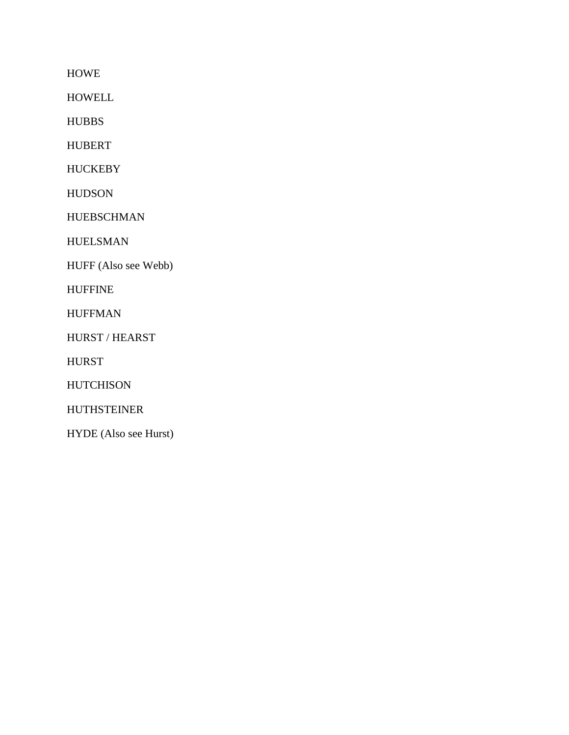HOWE

HOWELL

HUBBS

HUBERT

**HUCKEBY** 

HUDSON

HUEBSCHMAN

HUELSMAN

HUFF (Also see Webb)

HUFFINE

HUFFMAN

HURST / HEARST

HURST

**HUTCHISON** 

HUTHSTEINER

HYDE (Also see Hurst)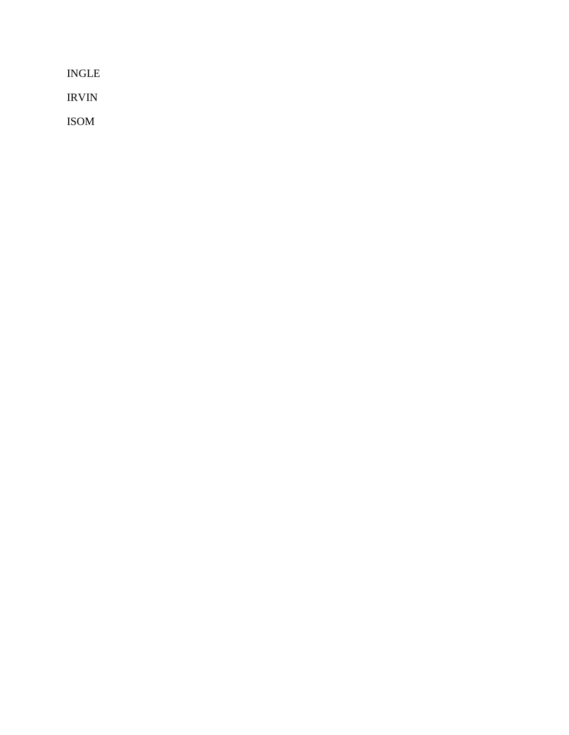INGLE

IRVIN

ISOM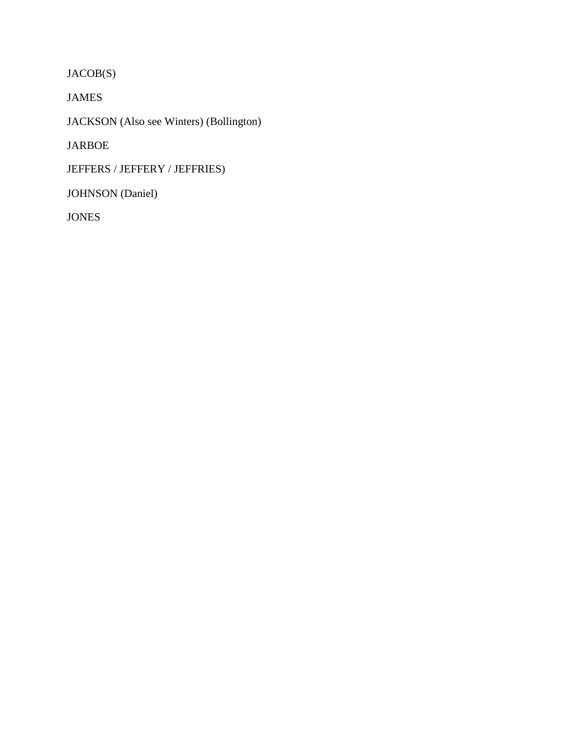JACOB(S)

JAMES

JACKSON (Also see Winters) (Bollington)

JARBOE

JEFFERS / JEFFERY / JEFFRIES)

JOHNSON (Daniel)

JONES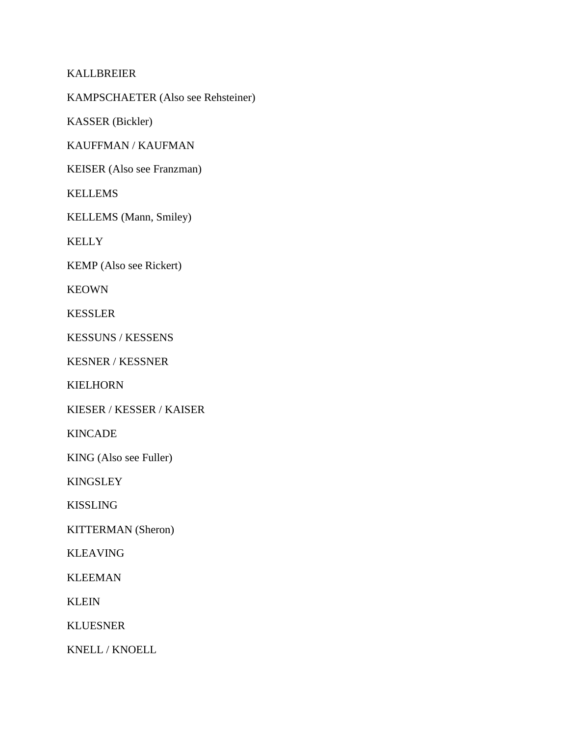## KALLBREIER

KAMPSCHAETER (Also see Rehsteiner)

KASSER (Bickler)

KAUFFMAN / KAUFMAN

KEISER (Also see Franzman)

KELLEMS

KELLEMS (Mann, Smiley)

KELLY

KEMP (Also see Rickert)

KEOWN

KESSLER

KESSUNS / KESSENS

KESNER / KESSNER

KIELHORN

KIESER / KESSER / KAISER

KINCADE

KING (Also see Fuller)

KINGSLEY

KISSLING

KITTERMAN (Sheron)

KLEAVING

KLEEMAN

KLEIN

KLUESNER

KNELL / KNOELL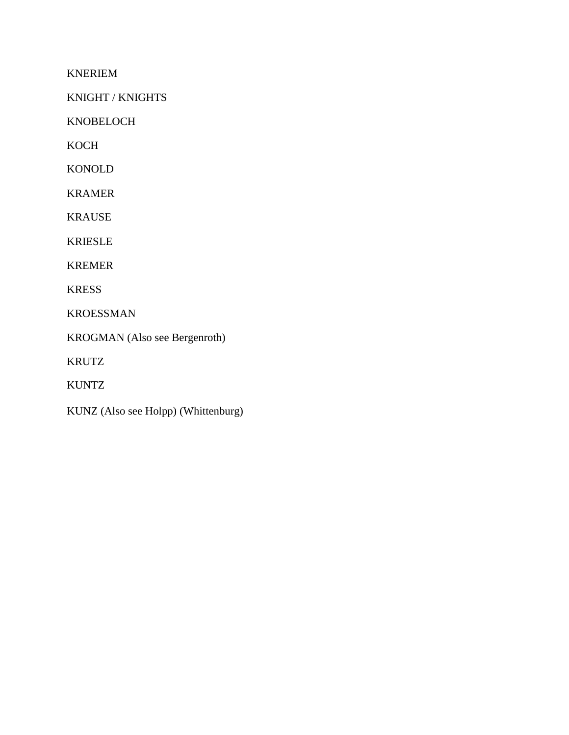KNERIEM

KNIGHT / KNIGHTS

KNOBELOCH

KOCH

KONOLD

KRAMER

KRAUSE

KRIESLE

KREMER

KRESS

KROESSMAN

KROGMAN (Also see Bergenroth)

KRUTZ

KUNTZ

KUNZ (Also see Holpp) (Whittenburg)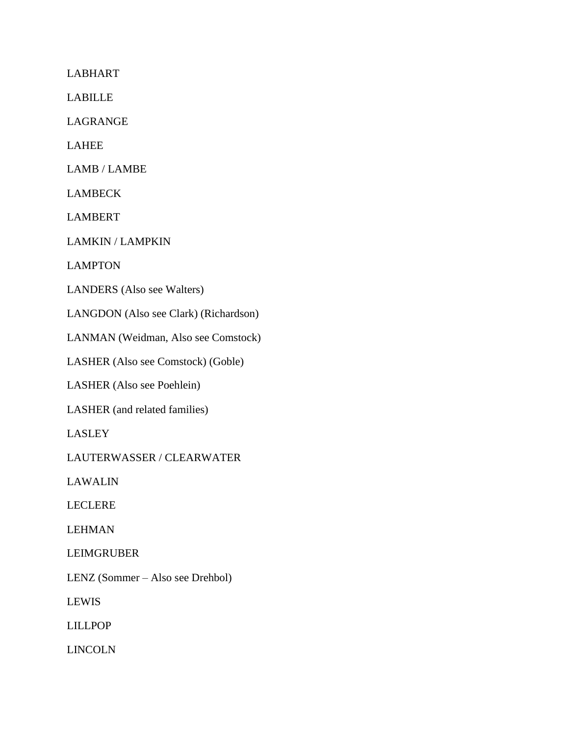LABHART

LABILLE

LAGRANGE

LAHEE

LAMB / LAMBE

LAMBECK

LAMBERT

LAMKIN / LAMPKIN

LAMPTON

LANDERS (Also see Walters)

LANGDON (Also see Clark) (Richardson)

LANMAN (Weidman, Also see Comstock)

LASHER (Also see Comstock) (Goble)

LASHER (Also see Poehlein)

LASHER (and related families)

LASLEY

LAUTERWASSER / CLEARWATER

LAWALIN

LECLERE

LEHMAN

LEIMGRUBER

LENZ (Sommer – Also see Drehbol)

LEWIS

LILLPOP

LINCOLN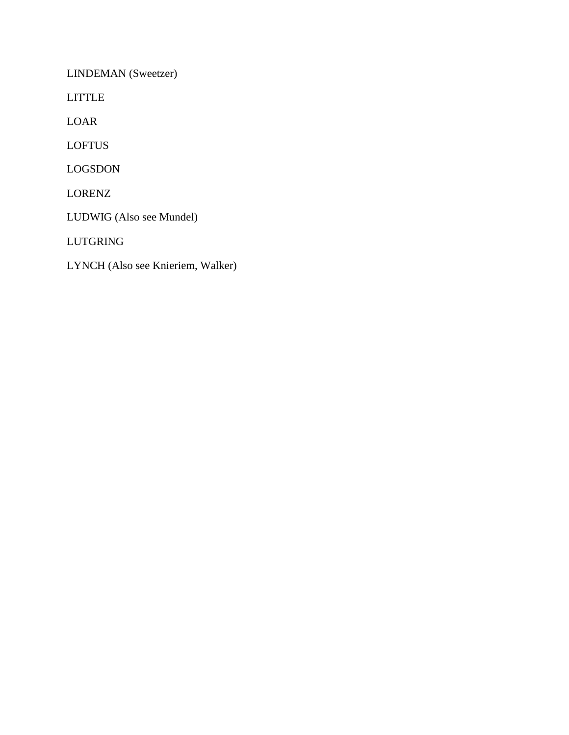LINDEMAN (Sweetzer)

LITTLE

LOAR

LOFTUS

LOGSDON

LORENZ

LUDWIG (Also see Mundel)

LUTGRING

LYNCH (Also see Knieriem, Walker)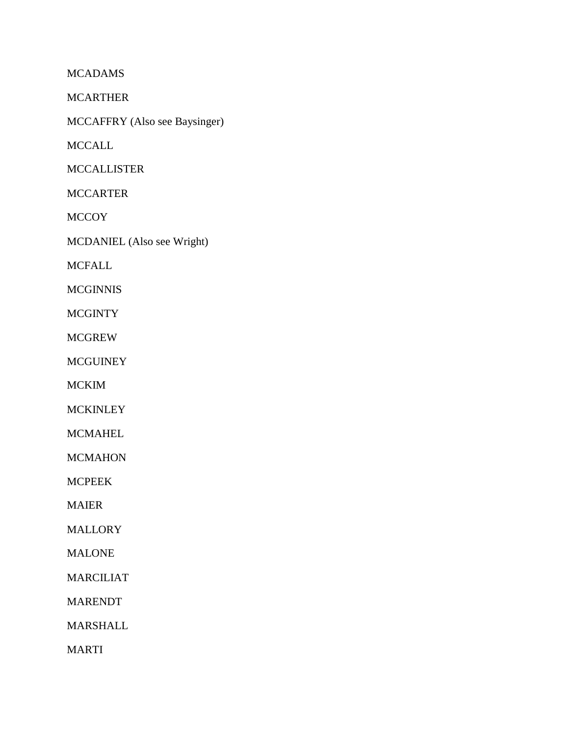MCADAMS

MCARTHER

MCCAFFRY (Also see Baysinger)

**MCCALL** 

MCCALLISTER

MCCARTER

**MCCOY** 

MCDANIEL (Also see Wright)

MCFALL

**MCGINNIS** 

**MCGINTY** 

MCGREW

**MCGUINEY** 

MCKIM

**MCKINLEY** 

MCMAHEL

**MCMAHON** 

MCPEEK

MAIER

MALLORY

MALONE

MARCILIAT

MARENDT

MARSHALL

MARTI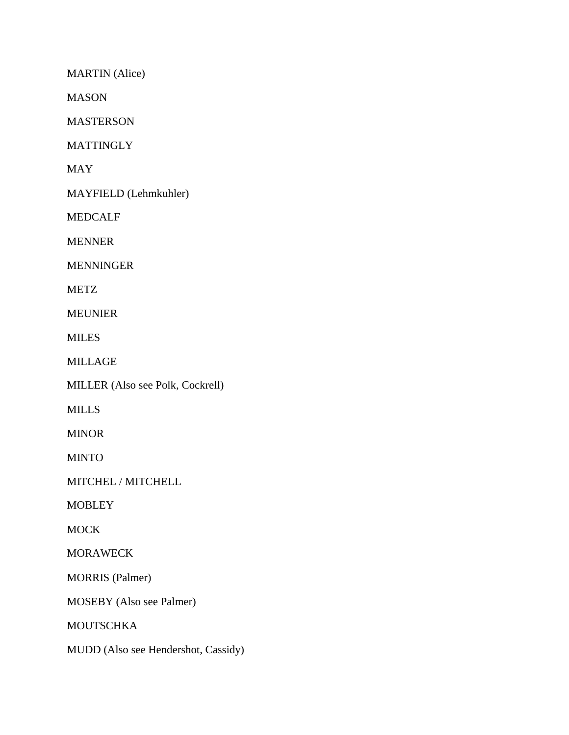MARTIN (Alice)

MASON

MASTERSON

**MATTINGLY** 

MAY

MAYFIELD (Lehmkuhler)

MEDCALF

MENNER

MENNINGER

METZ

MEUNIER

MILES

MILLAGE

MILLER (Also see Polk, Cockrell)

MILLS

MINOR

MINTO

MITCHEL / MITCHELL

**MOBLEY** 

**MOCK** 

MORAWECK

MORRIS (Palmer)

MOSEBY (Also see Palmer)

MOUTSCHKA

MUDD (Also see Hendershot, Cassidy)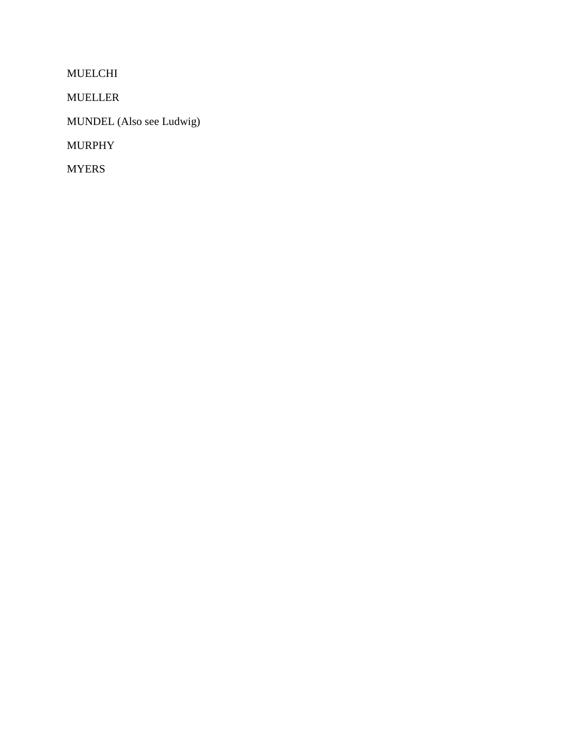MUELCHI

MUELLER

MUNDEL (Also see Ludwig)

MURPHY

MYERS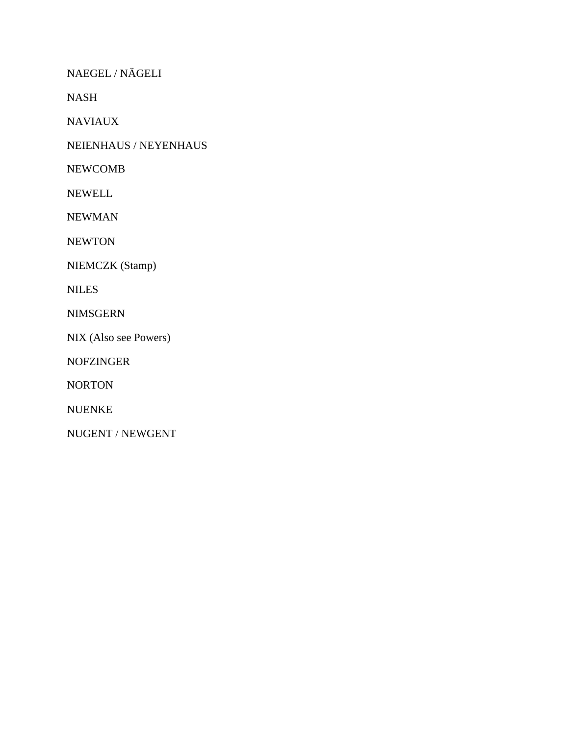NAEGEL / NÄGELI

NASH

NAVIAUX

NEIENHAUS / NEYENHAUS

NEWCOMB

NEWELL

NEWMAN

**NEWTON** 

NIEMCZK (Stamp)

NILES

NIMSGERN

NIX (Also see Powers)

NOFZINGER

NORTON

NUENKE

NUGENT / NEWGENT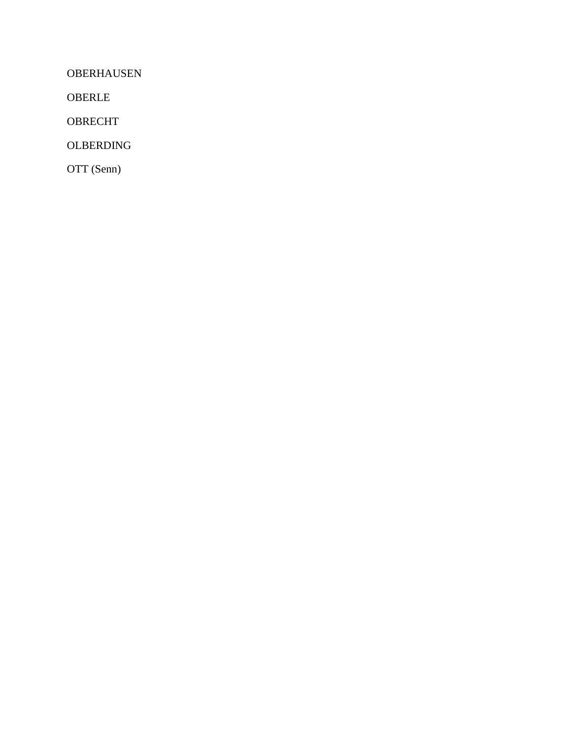OBERHAUSEN

OBERLE

OBRECHT

OLBERDING

OTT (Senn)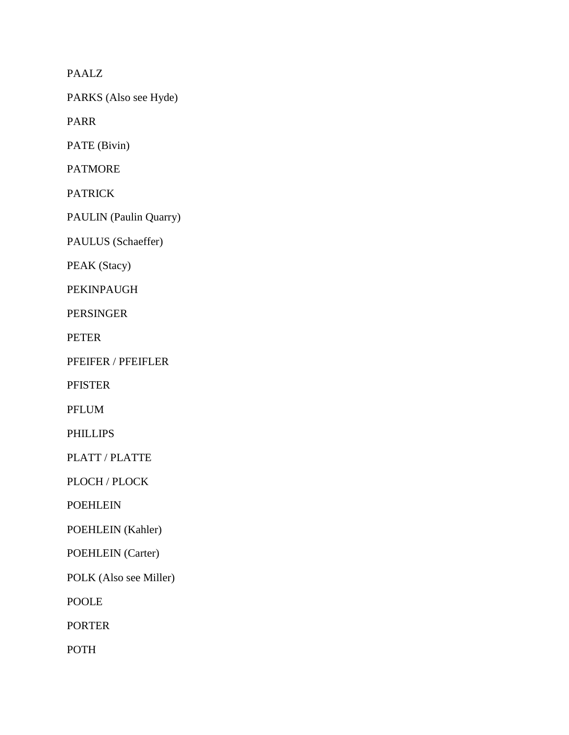PAALZ

PARKS (Also see Hyde)

PARR

PATE (Bivin)

PATMORE

PATRICK

PAULIN (Paulin Quarry)

PAULUS (Schaeffer)

PEAK (Stacy)

PEKINPAUGH

PERSINGER

PETER

PFEIFER / PFEIFLER

PFISTER

PFLUM

PHILLIPS

PLATT / PLATTE

PLOCH / PLOCK

POEHLEIN

POEHLEIN (Kahler)

POEHLEIN (Carter)

POLK (Also see Miller)

POOLE

PORTER

POTH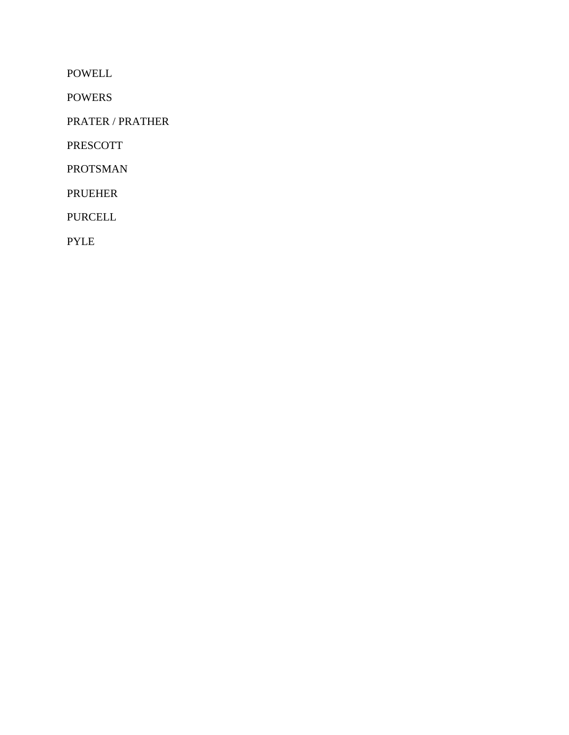POWELL

POWERS

PRATER / PRATHER

PRESCOTT

PROTSMAN

PRUEHER

PURCELL

PYLE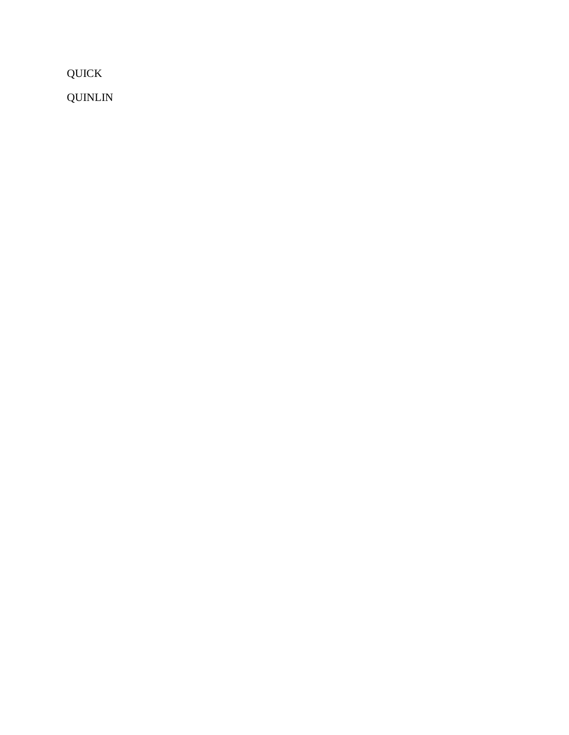QUICK

QUINLIN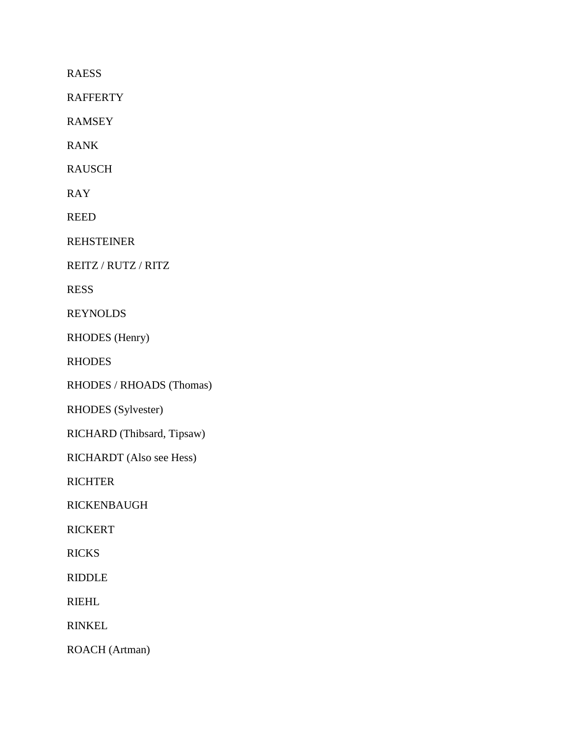RAESS

RAFFERTY

RAMSEY

RANK

RAUSCH

RAY

REED

REHSTEINER

REITZ / RUTZ / RITZ

RESS

REYNOLDS

RHODES (Henry)

RHODES

RHODES / RHOADS (Thomas)

RHODES (Sylvester)

RICHARD (Thibsard, Tipsaw)

RICHARDT (Also see Hess)

**RICHTER** 

RICKENBAUGH

RICKERT

**RICKS** 

RIDDLE

RIEHL

RINKEL

ROACH (Artman)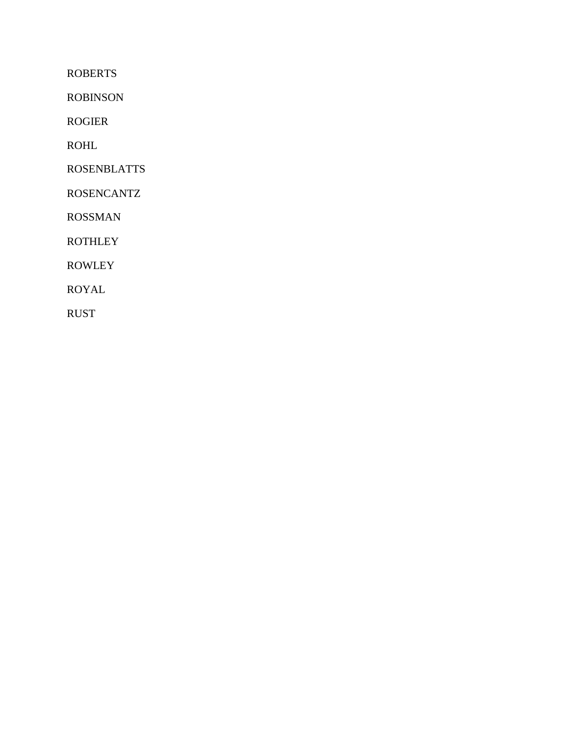ROBERTS

ROBINSON

ROGIER

ROHL

ROSENBLATTS

ROSENCANTZ

ROSSMAN

**ROTHLEY** 

ROWLEY

ROYAL

RUST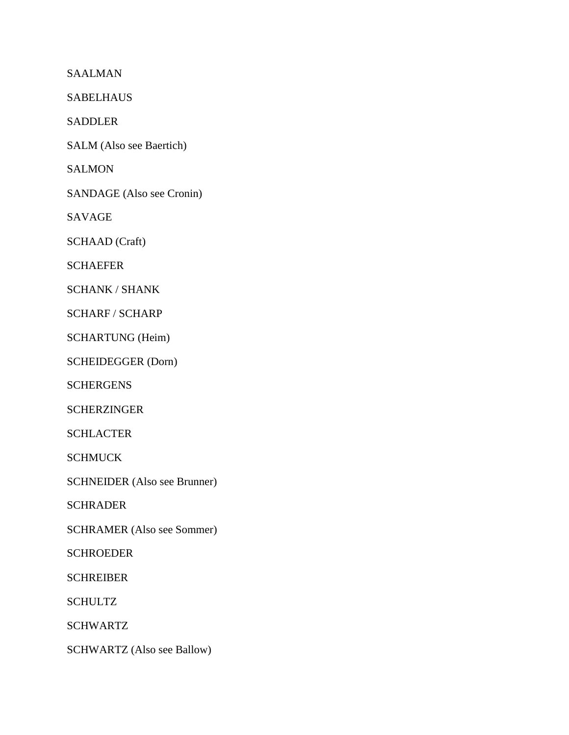SAALMAN

SABELHAUS

SADDLER

SALM (Also see Baertich)

**SALMON** 

SANDAGE (Also see Cronin)

SAVAGE

SCHAAD (Craft)

SCHAEFER

SCHANK / SHANK

SCHARF / SCHARP

SCHARTUNG (Heim)

SCHEIDEGGER (Dorn)

**SCHERGENS** 

**SCHERZINGER** 

SCHLACTER

**SCHMUCK** 

SCHNEIDER (Also see Brunner)

SCHRADER

SCHRAMER (Also see Sommer)

**SCHROEDER** 

SCHREIBER

SCHULTZ

SCHWARTZ

SCHWARTZ (Also see Ballow)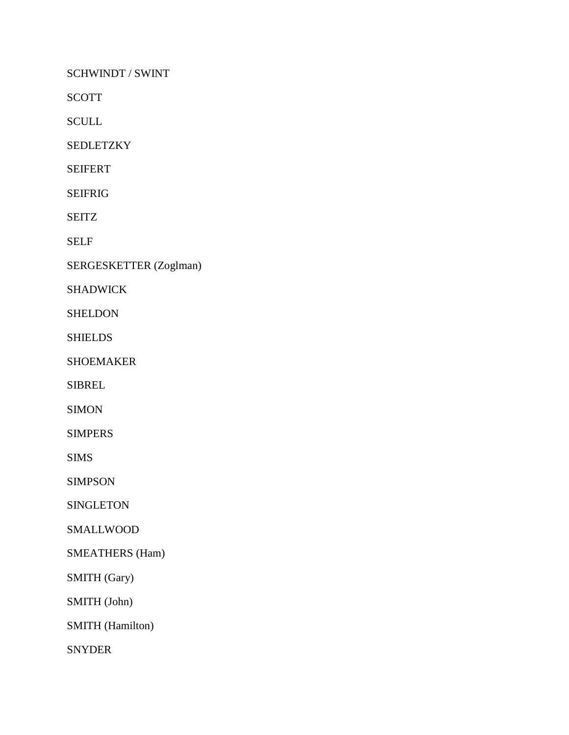SCHWINDT / SWINT

SCOTT

SCULL

SEDLETZKY

SEIFERT

SEIFRIG

SEITZ

SELF

SERGESKETTER (Zoglman)

SHADWICK

SHELDON

**SHIELDS** 

SHOEMAKER

SIBREL

SIMON

SIMPERS

SIMS

SIMPSON

SINGLETON

SMALLWOOD

SMEATHERS (Ham)

SMITH (Gary)

SMITH (John)

SMITH (Hamilton)

SNYDER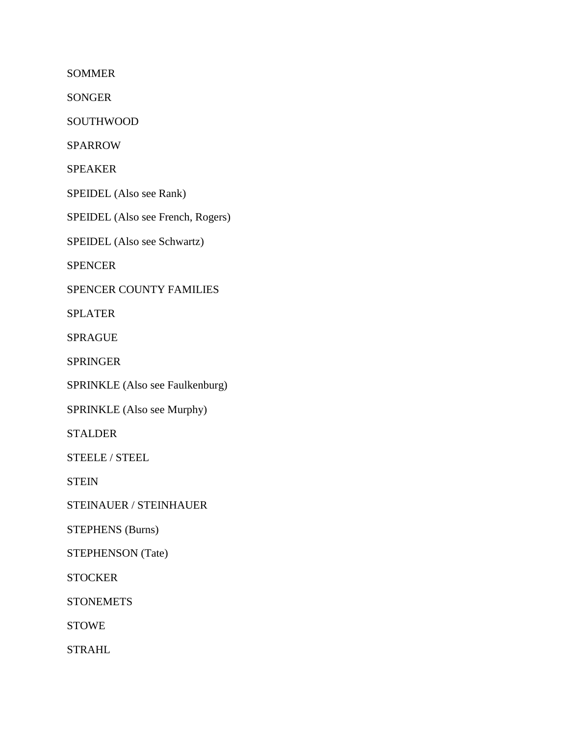SOMMER

SONGER

SOUTHWOOD

SPARROW

SPEAKER

SPEIDEL (Also see Rank)

SPEIDEL (Also see French, Rogers)

SPEIDEL (Also see Schwartz)

SPENCER

SPENCER COUNTY FAMILIES

SPLATER

SPRAGUE

SPRINGER

SPRINKLE (Also see Faulkenburg)

SPRINKLE (Also see Murphy)

STALDER

STEELE / STEEL

**STEIN** 

STEINAUER / STEINHAUER

STEPHENS (Burns)

STEPHENSON (Tate)

**STOCKER** 

**STONEMETS** 

STOWE

STRAHL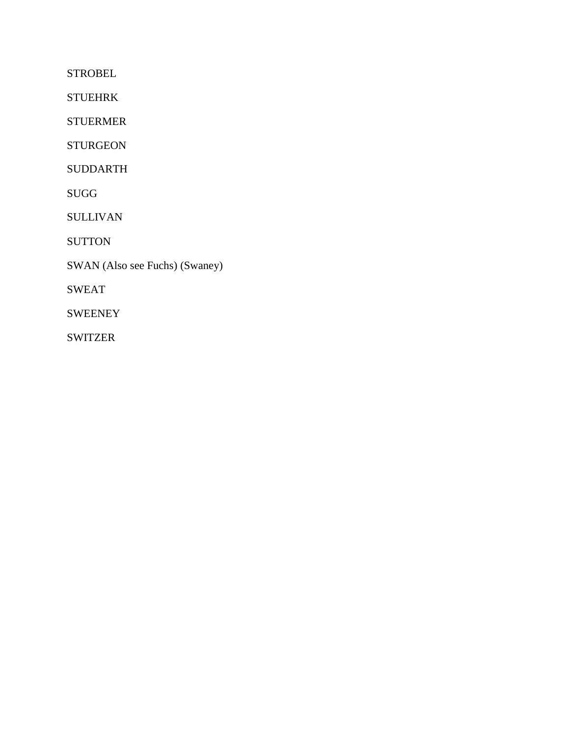**STROBEL** 

STUEHRK

STUERMER

STURGEON

SUDDARTH

SUGG

SULLIVAN

**SUTTON** 

SWAN (Also see Fuchs) (Swaney)

SWEAT

SWEENEY

SWITZER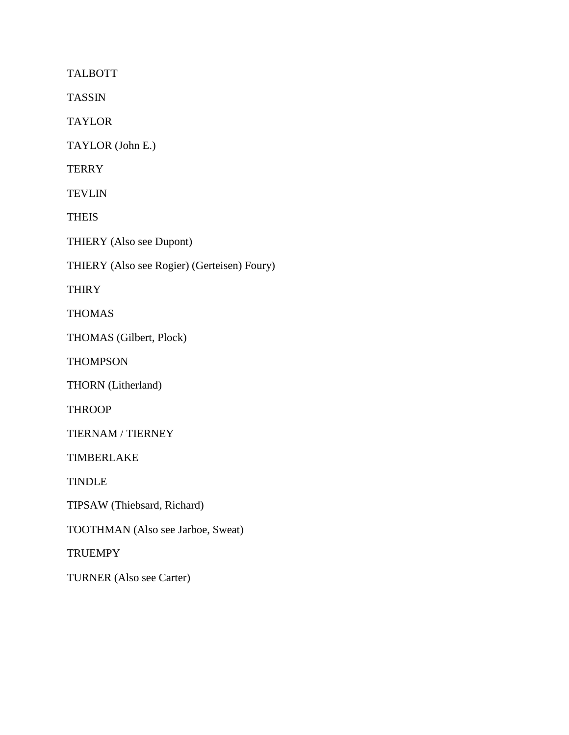TALBOTT

TASSIN

TAYLOR

TAYLOR (John E.)

**TERRY** 

**TEVLIN** 

**THEIS** 

THIERY (Also see Dupont)

THIERY (Also see Rogier) (Gerteisen) Foury)

**THIRY** 

THOMAS

THOMAS (Gilbert, Plock)

**THOMPSON** 

THORN (Litherland)

**THROOP** 

TIERNAM / TIERNEY

TIMBERLAKE

TINDLE

TIPSAW (Thiebsard, Richard)

TOOTHMAN (Also see Jarboe, Sweat)

**TRUEMPY** 

TURNER (Also see Carter)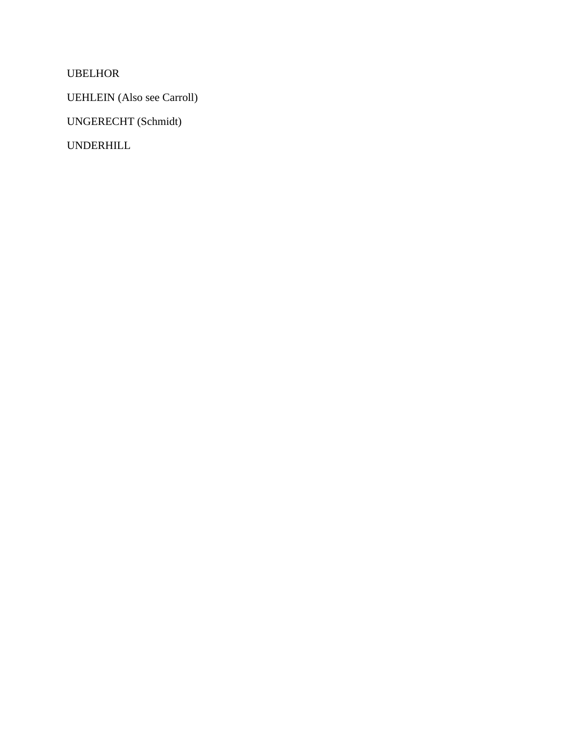UBELHOR

UEHLEIN (Also see Carroll)

UNGERECHT (Schmidt)

UNDERHILL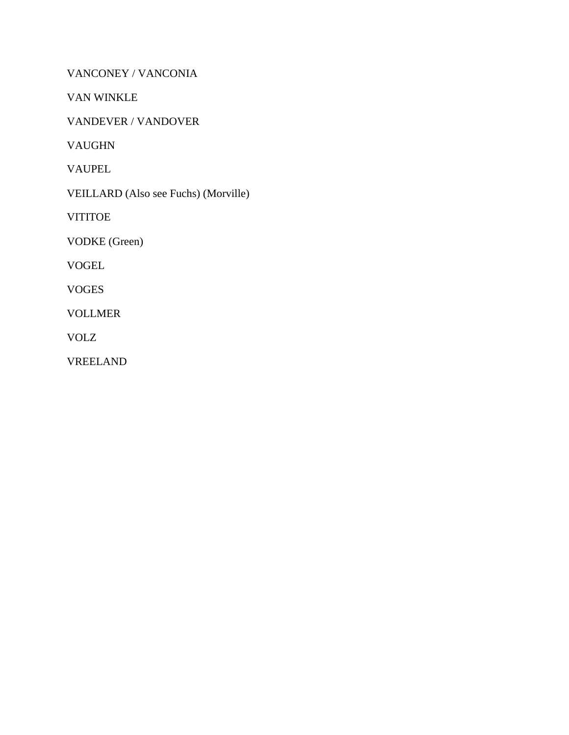VANCONEY / VANCONIA

VAN WINKLE

VANDEVER / VANDOVER

VAUGHN

VAUPEL

VEILLARD (Also see Fuchs) (Morville)

**VITITOE** 

VODKE (Green)

VOGEL

VOGES

VOLLMER

VOLZ

VREELAND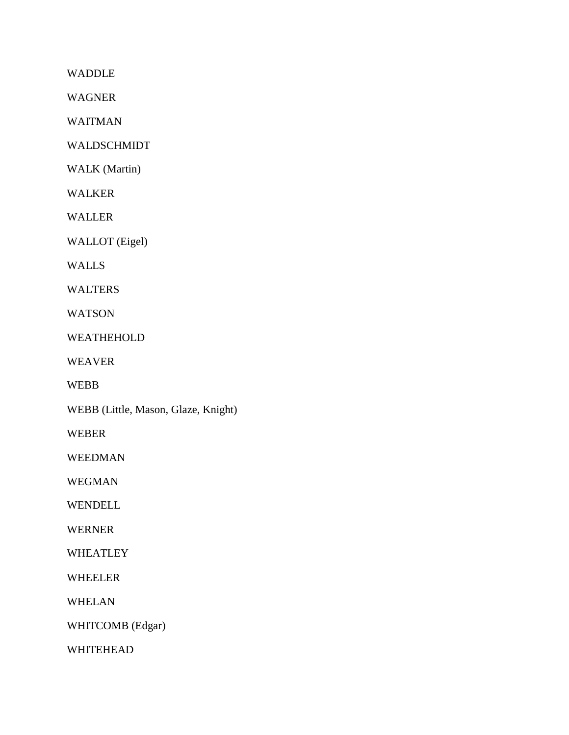WADDLE

WAGNER

WAITMAN

WALDSCHMIDT

WALK (Martin)

WALKER

WALLER

WALLOT (Eigel)

WALLS

WALTERS

WATSON

WEATHEHOLD

WEAVER

WEBB

WEBB (Little, Mason, Glaze, Knight)

WEBER

WEEDMAN

WEGMAN

WENDELL

WERNER

WHEATLEY

WHEELER

WHELAN

WHITCOMB (Edgar)

WHITEHEAD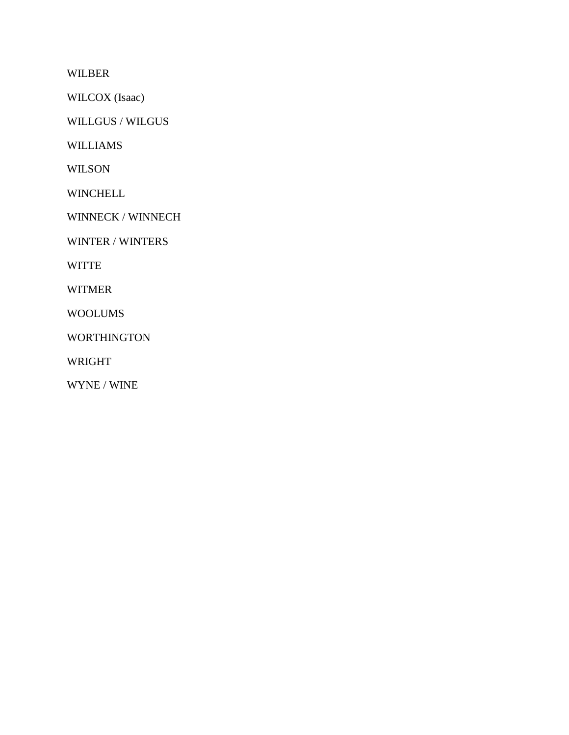WILBER

WILCOX (Isaac)

WILLGUS / WILGUS

WILLIAMS

WILSON

WINCHELL

WINNECK / WINNECH

WINTER / WINTERS

WITTE

WITMER

WOOLUMS

WORTHINGTON

WRIGHT

WYNE / WINE